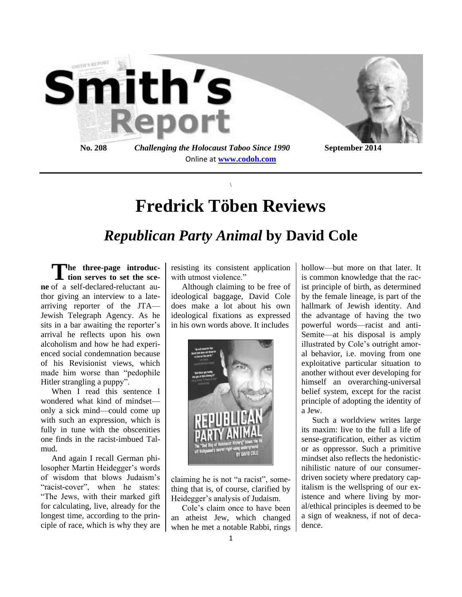

# **Fredrick Töben Reviews**

 $\backslash$ 

## *Republican Party Animal* **by David Cole**

The three-page introduc-<br>tion serves to set the sce**tion serves to set the scene** of a self-declared-reluctant author giving an interview to a latearriving reporter of the JTA— Jewish Telegraph Agency. As he sits in a bar awaiting the reporter's arrival he reflects upon his own alcoholism and how he had experienced social condemnation because of his Revisionist views, which made him worse than "pedophile Hitler strangling a puppy".

When I read this sentence I wondered what kind of mindset only a sick mind—could come up with such an expression, which is fully in tune with the obscenities one finds in the racist-imbued Talmud.

And again I recall German philosopher Martin Heidegger's words of wisdom that blows Judaism's "racist-cover", when he states: "The Jews, with their marked gift for calculating, live, already for the longest time, according to the principle of race, which is why they are resisting its consistent application with utmost violence."

Although claiming to be free of ideological baggage, David Cole does make a lot about his own ideological fixations as expressed in his own words above. It includes



claiming he is not "a racist", something that is, of course, clarified by Heidegger's analysis of Judaism.

Cole's claim once to have been an atheist Jew, which changed when he met a notable Rabbi, rings hollow—but more on that later. It is common knowledge that the racist principle of birth, as determined by the female lineage, is part of the hallmark of Jewish identity. And the advantage of having the two powerful words—racist and anti-Semite—at his disposal is amply illustrated by Cole's outright amoral behavior, i.e. moving from one exploitative particular situation to another without ever developing for himself an overarching-universal belief system, except for the racist principle of adopting the identity of a Jew.

Such a worldview writes large its maxim: live to the full a life of sense-gratification, either as victim or as oppressor. Such a primitive mindset also reflects the hedonisticnihilistic nature of our consumerdriven society where predatory capitalism is the wellspring of our existence and where living by moral/ethical principles is deemed to be a sign of weakness, if not of decadence.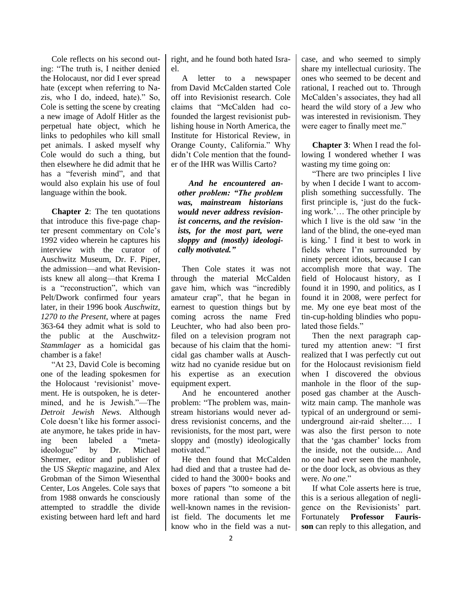Cole reflects on his second outing: "The truth is, I neither denied the Holocaust, nor did I ever spread hate (except when referring to Nazis, who I do, indeed, hate)." So, Cole is setting the scene by creating a new image of Adolf Hitler as the perpetual hate object, which he links to pedophiles who kill small pet animals. I asked myself why Cole would do such a thing, but then elsewhere he did admit that he has a "feverish mind", and that would also explain his use of foul language within the book.

**Chapter 2**: The ten quotations that introduce this five-page chapter present commentary on Cole's 1992 video wherein he captures his interview with the curator of Auschwitz Museum, Dr. F. Piper, the admission—and what Revisionists knew all along—that Krema I is a "reconstruction", which van Pelt/Dwork confirmed four years later, in their 1996 book *Auschwitz, 1270 to the Present*, where at pages 363-64 they admit what is sold to the public at the Auschwitz-*Stammlager* as a homicidal gas chamber is a fake!

"At 23, David Cole is becoming one of the leading spokesmen for the Holocaust 'revisionist' movement. He is outspoken, he is determined, and he is Jewish."—The *Detroit Jewish News.* Although Cole doesn't like his former associate anymore, he takes pride in having been labeled a "metaideologue" by Dr. Michael Shermer, editor and publisher of the US *Skeptic* magazine, and Alex Grobman of the Simon Wiesenthal Center, Los Angeles. Cole says that from 1988 onwards he consciously attempted to straddle the divide existing between hard left and hard right, and he found both hated Israel.

A letter to a newspaper from David McCalden started Cole off into Revisionist research. Cole claims that "McCalden had cofounded the largest revisionist publishing house in North America, the Institute for Historical Review, in Orange County, California." Why didn't Cole mention that the founder of the IHR was Willis Carto?

*And he encountered another problem: "The problem was, mainstream historians would never address revisionist concerns, and the revisionists, for the most part, were sloppy and (mostly) ideologically motivated."*

Then Cole states it was not through the material McCalden gave him, which was "incredibly amateur crap", that he began in earnest to question things but by coming across the name Fred Leuchter, who had also been profiled on a television program not because of his claim that the homicidal gas chamber walls at Auschwitz had no cyanide residue but on his expertise as an execution equipment expert.

And he encountered another problem: "The problem was, mainstream historians would never address revisionist concerns, and the revisionists, for the most part, were sloppy and (mostly) ideologically motivated."

He then found that McCalden had died and that a trustee had decided to hand the 3000+ books and boxes of papers "to someone a bit more rational than some of the well-known names in the revisionist field. The documents let me know who in the field was a nutcase, and who seemed to simply share my intellectual curiosity. The ones who seemed to be decent and rational, I reached out to. Through McCalden's associates, they had all heard the wild story of a Jew who was interested in revisionism. They were eager to finally meet me."

**Chapter 3**: When I read the following I wondered whether I was wasting my time going on:

"There are two principles I live by when I decide I want to accomplish something successfully. The first principle is, 'just do the fucking work.'… The other principle by which I live is the old saw 'in the land of the blind, the one-eyed man is king.' I find it best to work in fields where I'm surrounded by ninety percent idiots, because I can accomplish more that way. The field of Holocaust history, as I found it in 1990, and politics, as I found it in 2008, were perfect for me. My one eye beat most of the tin-cup-holding blindies who populated those fields."

Then the next paragraph captured my attention anew: "I first realized that I was perfectly cut out for the Holocaust revisionism field when I discovered the obvious manhole in the floor of the supposed gas chamber at the Auschwitz main camp. The manhole was typical of an underground or semiunderground air-raid shelter.… I was also the first person to note that the 'gas chamber' locks from the inside, not the outside.... And no one had ever seen the manhole, or the door lock, as obvious as they were. *No one*."

If what Cole asserts here is true, this is a serious allegation of negligence on the Revisionists' part. Fortunately **Professor Faurisson** can reply to this allegation, and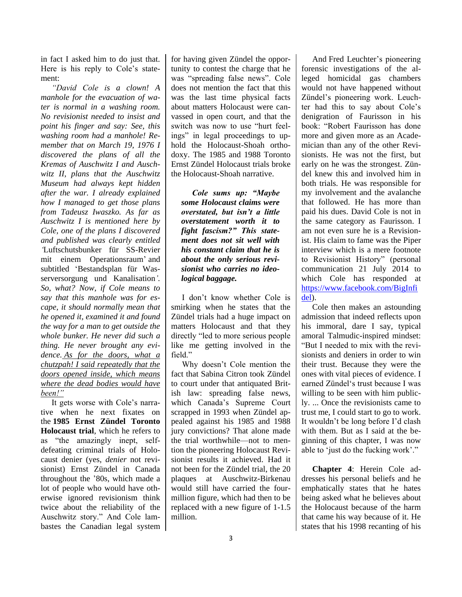in fact I asked him to do just that. Here is his reply to Cole's statement:

*"David Cole is a clown! A manhole for the evacuation of water is normal in a washing room. No revisionist needed to insist and point his finger and say: See, this washing room had a manhole! Remember that on March 19, 1976 I discovered the plans of all the Kremas of Auschwitz I and Auschwitz II, plans that the Auschwitz Museum had always kept hidden after the war. I already explained how I managed to get those plans from Tadeusz Iwaszko. As far as Auschwitz I is mentioned here by Cole, one of the plans I discovered and published was clearly entitled '*Luftschutsbunker für SS-Revier mit einem Operationsraum' and subtitled 'Bestandsplan für Wasserversorgung und Kanalisation*'. So, what? Now, if Cole means to say that this manhole was for escape, it should normally mean that he opened it, examined it and found the way for a man to get outside the whole bunker. He never did such a thing. He never brought any evidence. As for the doors, what a chutzpah! I said repeatedly that the doors opened inside, which means where the dead bodies would have been!"*

It gets worse with Cole's narrative when he next fixates on the **1985 Ernst Zündel Toronto Holocaust trial**, which he refers to as "the amazingly inept, selfdefeating criminal trials of Holocaust denier (yes, *denier* not revisionist) Ernst Zündel in Canada throughout the '80s, which made a lot of people who would have otherwise ignored revisionism think twice about the reliability of the Auschwitz story." And Cole lambastes the Canadian legal system for having given Zündel the opportunity to contest the charge that he was "spreading false news". Cole does not mention the fact that this was the last time physical facts about matters Holocaust were canvassed in open court, and that the switch was now to use "hurt feelings" in legal proceedings to uphold the Holocaust-Shoah orthodoxy. The 1985 and 1988 Toronto Ernst Zündel Holocaust trials broke the Holocaust-Shoah narrative.

*Cole sums up: "Maybe some Holocaust claims were overstated, but isn't a little overstatement worth it to fight fascism?" This statement does not sit well with his constant claim that he is about the only serious revisionist who carries no ideological baggage.*

I don't know whether Cole is smirking when he states that the Zündel trials had a huge impact on matters Holocaust and that they directly "led to more serious people like me getting involved in the field"

Why doesn't Cole mention the fact that Sabina Citron took Zündel to court under that antiquated British law: spreading false news, which Canada's Supreme Court scrapped in 1993 when Zündel appealed against his 1985 and 1988 jury convictions? That alone made the trial worthwhile—not to mention the pioneering Holocaust Revisionist results it achieved. Had it not been for the Zündel trial, the 20 plaques at Auschwitz-Birkenau would still have carried the fourmillion figure, which had then to be replaced with a new figure of 1-1.5 million.

And Fred Leuchter's pioneering forensic investigations of the alleged homicidal gas chambers would not have happened without Zündel's pioneering work. Leuchter had this to say about Cole's denigration of Faurisson in his book: "Robert Faurisson has done more and given more as an Academician than any of the other Revisionists. He was not the first, but early on he was the strongest. Zündel knew this and involved him in both trials. He was responsible for my involvement and the avalanche that followed. He has more than paid his dues. David Cole is not in the same category as Faurisson. I am not even sure he is a Revisionist. His claim to fame was the Piper interview which is a mere footnote to Revisionist History" (personal communication 21 July 2014 to which Cole has responded at [https://www.facebook.com/BigInfi](https://www.facebook.com/BigInfidel) [del\)](https://www.facebook.com/BigInfidel).

Cole then makes an astounding admission that indeed reflects upon his immoral, dare I say, typical amoral Talmudic-inspired mindset: "But I needed to mix with the revisionists and deniers in order to win their trust. Because they were the ones with vital pieces of evidence. I earned Zündel's trust because I was willing to be seen with him publicly. ... Once the revisionists came to trust me, I could start to go to work. It wouldn't be long before I'd clash with them. But as I said at the beginning of this chapter, I was now able to 'just do the fucking work'."

**Chapter 4**: Herein Cole addresses his personal beliefs and he emphatically states that he hates being asked what he believes about the Holocaust because of the harm that came his way because of it. He states that his 1998 recanting of his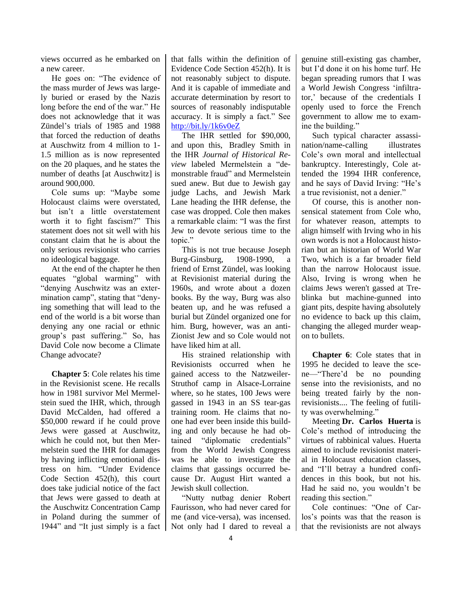views occurred as he embarked on a new career.

He goes on: "The evidence of the mass murder of Jews was largely buried or erased by the Nazis long before the end of the war." He does not acknowledge that it was Zündel's trials of 1985 and 1988 that forced the reduction of deaths at Auschwitz from 4 million to 1- 1.5 million as is now represented on the 20 plaques, and he states the number of deaths [at Auschwitz] is around 900,000.

Cole sums up: "Maybe some Holocaust claims were overstated, but isn't a little overstatement worth it to fight fascism?" This statement does not sit well with his constant claim that he is about the only serious revisionist who carries no ideological baggage.

At the end of the chapter he then equates "global warming" with "denying Auschwitz was an extermination camp", stating that "denying something that will lead to the end of the world is a bit worse than denying any one racial or ethnic group's past suffering." So, has David Cole now become a Climate Change advocate?

**Chapter 5**: Cole relates his time in the Revisionist scene. He recalls how in 1981 survivor Mel Mermelstein sued the IHR, which, through David McCalden, had offered a \$50,000 reward if he could prove Jews were gassed at Auschwitz, which he could not, but then Mermelstein sued the IHR for damages by having inflicting emotional distress on him. "Under Evidence Code Section 452(h), this court does take judicial notice of the fact that Jews were gassed to death at the Auschwitz Concentration Camp in Poland during the summer of 1944" and "It just simply is a fact that falls within the definition of Evidence Code Section 452(h). It is not reasonably subject to dispute. And it is capable of immediate and accurate determination by resort to sources of reasonably indisputable accuracy. It is simply a fact." See <http://bit.ly/1k6v0eZ>

The IHR settled for \$90,000, and upon this, Bradley Smith in the IHR *Journal of Historical Review* labeled Mermelstein a "demonstrable fraud" and Mermelstein sued anew. But due to Jewish gay judge Lachs, and Jewish Mark Lane heading the IHR defense, the case was dropped. Cole then makes a remarkable claim: "I was the first Jew to devote serious time to the topic."

This is not true because Joseph Burg-Ginsburg, 1908-1990, a friend of Ernst Zündel, was looking at Revisionist material during the 1960s, and wrote about a dozen books. By the way, Burg was also beaten up, and he was refused a burial but Zündel organized one for him. Burg, however, was an anti-Zionist Jew and so Cole would not have liked him at all.

His strained relationship with Revisionists occurred when he gained access to the Natzweiler-Struthof camp in Alsace-Lorraine where, so he states, 100 Jews were gassed in 1943 in an SS tear-gas training room. He claims that noone had ever been inside this building and only because he had obtained "diplomatic credentials" from the World Jewish Congress was he able to investigate the claims that gassings occurred because Dr. August Hirt wanted a Jewish skull collection.

"Nutty nutbag denier Robert Faurisson, who had never cared for me (and vice-versa), was incensed. Not only had I dared to reveal a genuine still-existing gas chamber, but I'd done it on his home turf. He began spreading rumors that I was a World Jewish Congress 'infiltrator,' because of the credentials I openly used to force the French government to allow me to examine the building."

Such typical character assassination/name-calling illustrates Cole's own moral and intellectual bankruptcy. Interestingly, Cole attended the 1994 IHR conference, and he says of David Irving: "He's a true revisionist, not a denier."

Of course, this is another nonsensical statement from Cole who, for whatever reason, attempts to align himself with Irving who in his own words is not a Holocaust historian but an historian of World War Two, which is a far broader field than the narrow Holocaust issue. Also, Irving is wrong when he claims Jews weren't gassed at Treblinka but machine-gunned into giant pits, despite having absolutely no evidence to back up this claim, changing the alleged murder weapon to bullets.

**Chapter 6**: Cole states that in 1995 he decided to leave the scene—"There'd be no pounding sense into the revisionists, and no being treated fairly by the nonrevisionists.... The feeling of futility was overwhelming."

Meeting **Dr. Carlos Huerta** is Cole's method of introducing the virtues of rabbinical values. Huerta aimed to include revisionist material in Holocaust education classes, and "I'll betray a hundred confidences in this book, but not his. Had he said no, you wouldn't be reading this section."

Cole continues: "One of Carlos's points was that the reason is that the revisionists are not always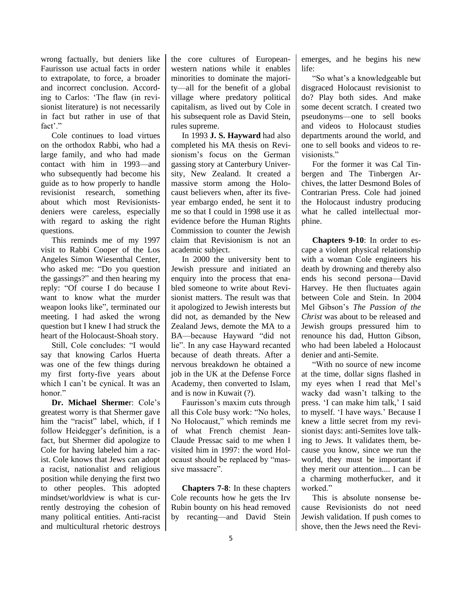wrong factually, but deniers like Faurisson use actual facts in order to extrapolate, to force, a broader and incorrect conclusion. According to Carlos: 'The flaw (in revisionist literature) is not necessarily in fact but rather in use of that fact'."

Cole continues to load virtues on the orthodox Rabbi, who had a large family, and who had made contact with him in 1993—and who subsequently had become his guide as to how properly to handle revisionist research, something about which most Revisionistsdeniers were careless, especially with regard to asking the right questions.

This reminds me of my 1997 visit to Rabbi Cooper of the Los Angeles Simon Wiesenthal Center, who asked me: "Do you question the gassings?" and then hearing my reply: "Of course I do because I want to know what the murder weapon looks like", terminated our meeting. I had asked the wrong question but I knew I had struck the heart of the Holocaust-Shoah story.

Still, Cole concludes: "I would say that knowing Carlos Huerta was one of the few things during my first forty-five years about which I can't be cynical. It was an honor<sup>"</sup>

**Dr. Michael Sherme**r: Cole's greatest worry is that Shermer gave him the "racist" label, which, if I follow Heidegger's definition, is a fact, but Shermer did apologize to Cole for having labeled him a racist. Cole knows that Jews can adopt a racist, nationalist and religious position while denying the first two to other peoples. This adopted mindset/worldview is what is currently destroying the cohesion of many political entities. Anti-racist and multicultural rhetoric destroys the core cultures of Europeanwestern nations while it enables minorities to dominate the majority—all for the benefit of a global village where predatory political capitalism, as lived out by Cole in his subsequent role as David Stein, rules supreme.

In 1993 **J. S. Hayward** had also completed his MA thesis on Revisionism's focus on the German gassing story at Canterbury University, New Zealand. It created a massive storm among the Holocaust believers when, after its fiveyear embargo ended, he sent it to me so that I could in 1998 use it as evidence before the Human Rights Commission to counter the Jewish claim that Revisionism is not an academic subject.

In 2000 the university bent to Jewish pressure and initiated an enquiry into the process that enabled someone to write about Revisionist matters. The result was that it apologized to Jewish interests but did not, as demanded by the New Zealand Jews, demote the MA to a BA—because Hayward "did not lie". In any case Hayward recanted because of death threats. After a nervous breakdown he obtained a job in the UK at the Defense Force Academy, then converted to Islam, and is now in Kuwait (?).

Faurisson's maxim cuts through all this Cole busy work: "No holes, No Holocaust," which reminds me of what French chemist Jean-Claude Pressac said to me when I visited him in 1997: the word Holocaust should be replaced by "massive massacre".

**Chapters 7-8**: In these chapters Cole recounts how he gets the Irv Rubin bounty on his head removed by recanting—and David Stein emerges, and he begins his new life:

"So what's a knowledgeable but disgraced Holocaust revisionist to do? Play both sides. And make some decent scratch. I created two pseudonyms—one to sell books and videos to Holocaust studies departments around the world, and one to sell books and videos to revisionists."

For the former it was Cal Tinbergen and The Tinbergen Archives, the latter Desmond Boles of Contrarian Press. Cole had joined the Holocaust industry producing what he called intellectual morphine.

**Chapters 9-10**: In order to escape a violent physical relationship with a woman Cole engineers his death by drowning and thereby also ends his second persona—David Harvey. He then fluctuates again between Cole and Stein. In 2004 Mel Gibson's *The Passion of the Christ* was about to be released and Jewish groups pressured him to renounce his dad, Hutton Gibson, who had been labeled a Holocaust denier and anti-Semite.

"With no source of new income at the time, dollar signs flashed in my eyes when I read that Mel's wacky dad wasn't talking to the press. 'I can make him talk,' I said to myself. 'I have ways.' Because I knew a little secret from my revisionist days: anti-Semites love talking to Jews. It validates them, because you know, since we run the world, they must be important if they merit our attention.... I can be a charming motherfucker, and it worked."

This is absolute nonsense because Revisionists do not need Jewish validation. If push comes to shove, then the Jews need the Revi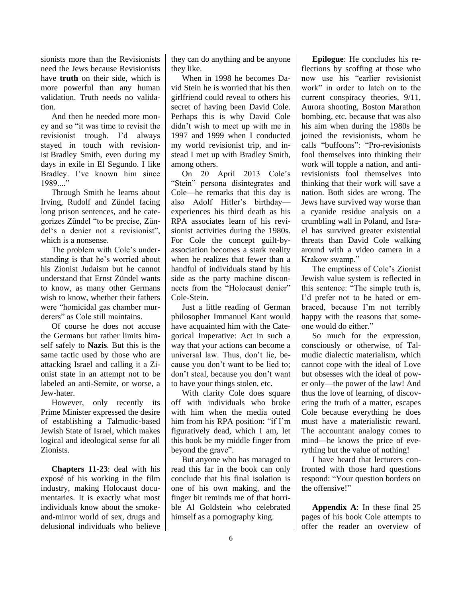sionists more than the Revisionists need the Jews because Revisionists have **truth** on their side, which is more powerful than any human validation. Truth needs no validation.

And then he needed more money and so "it was time to revisit the revisionist trough. I'd always stayed in touch with revisionist Bradley Smith, even during my days in exile in El Segundo. I like Bradley. I've known him since 1989...."

Through Smith he learns about Irving, Rudolf and Zündel facing long prison sentences, and he categorizes Zündel "to be precise, Zündel's a denier not a revisionist", which is a nonsense.

The problem with Cole's understanding is that he's worried about his Zionist Judaism but he cannot understand that Ernst Zündel wants to know, as many other Germans wish to know, whether their fathers were "homicidal gas chamber murderers" as Cole still maintains.

Of course he does not accuse the Germans but rather limits himself safely to **Nazis**. But this is the same tactic used by those who are attacking Israel and calling it a Zionist state in an attempt not to be labeled an anti-Semite, or worse, a Jew-hater.

However, only recently its Prime Minister expressed the desire of establishing a Talmudic-based Jewish State of Israel, which makes logical and ideological sense for all Zionists.

**Chapters 11-23**: deal with his exposé of his working in the film industry, making Holocaust documentaries. It is exactly what most individuals know about the smokeand-mirror world of sex, drugs and delusional individuals who believe they can do anything and be anyone they like.

When in 1998 he becomes David Stein he is worried that his then girlfriend could reveal to others his secret of having been David Cole. Perhaps this is why David Cole didn't wish to meet up with me in 1997 and 1999 when I conducted my world revisionist trip, and instead I met up with Bradley Smith, among others.

On 20 April 2013 Cole's "Stein" persona disintegrates and Cole—he remarks that this day is also Adolf Hitler's birthday experiences his third death as his RPA associates learn of his revisionist activities during the 1980s. For Cole the concept guilt-byassociation becomes a stark reality when he realizes that fewer than a handful of individuals stand by his side as the party machine disconnects from the "Holocaust denier" Cole-Stein.

Just a little reading of German philosopher Immanuel Kant would have acquainted him with the Categorical Imperative: Act in such a way that your actions can become a universal law. Thus, don't lie, because you don't want to be lied to; don't steal, because you don't want to have your things stolen, etc.

With clarity Cole does square off with individuals who broke with him when the media outed him from his RPA position: "if I'm figuratively dead, which I am, let this book be my middle finger from beyond the grave".

But anyone who has managed to read this far in the book can only conclude that his final isolation is one of his own making, and the finger bit reminds me of that horrible Al Goldstein who celebrated himself as a pornography king.

**Epilogue**: He concludes his reflections by scoffing at those who now use his "earlier revisionist work" in order to latch on to the current conspiracy theories, 9/11, Aurora shooting, Boston Marathon bombing, etc. because that was also his aim when during the 1980s he joined the revisionists, whom he calls "buffoons": "Pro-revisionists fool themselves into thinking their work will topple a nation, and antirevisionists fool themselves into thinking that their work will save a nation. Both sides are wrong. The Jews have survived way worse than a cyanide residue analysis on a crumbling wall in Poland, and Israel has survived greater existential threats than David Cole walking around with a video camera in a Krakow swamp."

The emptiness of Cole's Zionist Jewish value system is reflected in this sentence: "The simple truth is, I'd prefer not to be hated or embraced, because I'm not terribly happy with the reasons that someone would do either."

So much for the expression, consciously or otherwise, of Talmudic dialectic materialism, which cannot cope with the ideal of Love but obsesses with the ideal of power only—the power of the law! And thus the love of learning, of discovering the truth of a matter, escapes Cole because everything he does must have a materialistic reward. The accountant analogy comes to mind—he knows the price of everything but the value of nothing!

I have heard that lecturers confronted with those hard questions respond: "Your question borders on the offensive!"

**Appendix A**: In these final 25 pages of his book Cole attempts to offer the reader an overview of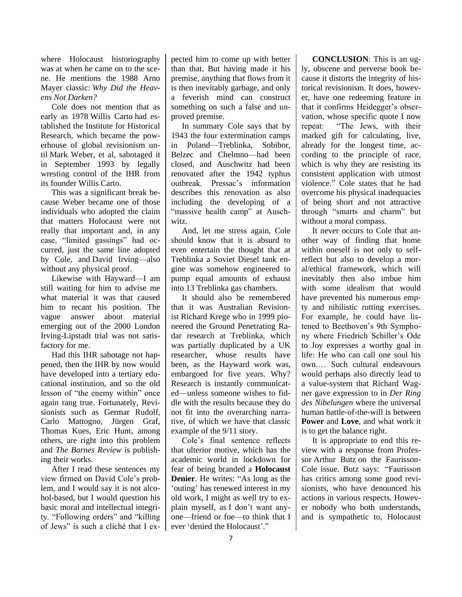where Holocaust historiography was at when he came on to the scene. He mentions the 1988 Arno Mayer classic: *Why Did the Heavens Not Darken?*

Cole does not mention that as early as 1978 Willis Carto had established the Institute for Historical Research, which became the powerhouse of global revisionism until Mark Weber, et al, sabotaged it in September 1993 by legally wresting control of the IHR from its founder Willis Carto.

This was a significant break because Weber became one of those individuals who adopted the claim that matters Holocaust were not really that important and, in any case, "limited gassings" had occurred, just the same line adopted by Cole, and David Irving—also without any physical proof.

Likewise with Hayward—I am still waiting for him to advise me what material it was that caused him to recant his position. The vague answer about material emerging out of the 2000 London Irving-Lipstadt trial was not satisfactory for me.

Had this IHR sabotage not happened, then the IHR by now would have developed into a tertiary educational institution, and so the old lesson of "the enemy within" once again rang true. Fortunately, Revisionists such as Germar Rudolf, Carlo Mattogno, Jürgen Graf, Thomas Kues, Eric Hunt, among others, are right into this problem and *The Barnes Review* is publishing their works.

After I read these sentences my view firmed on David Cole's problem, and I would say it is not alcohol-based, but I would question his basic moral and intellectual integrity. "Following orders" and "killing of Jews" is such a cliché that I expected him to come up with better than that. But having made it his premise, anything that flows from it is then inevitably garbage, and only a feverish mind can construct something on such a false and unproved premise.

In summary Cole says that by 1943 the four extermination camps in Poland—Treblinka, Sobibor, Belzec and Chelmno—had been closed, and Auschwitz had been renovated after the 1942 typhus outbreak. Pressac's information describes this renovation as also including the developing of a "massive health camp" at Auschwitz.

And, let me stress again, Cole should know that it is absurd to even entertain the thought that at Treblinka a Soviet Diesel tank engine was somehow engineered to pump equal amounts of exhaust into 13 Treblinka gas chambers.

It should also be remembered that it was Australian Revisionist Richard Krege who in 1999 pioneered the Ground Penetrating Radar research at Treblinka, which was partially duplicated by a UK researcher, whose results have been, as the Hayward work was, embargoed for five years. Why? Research is instantly communicated—unless someone wishes to fiddle with the results because they do not fit into the overarching narrative, of which we have that classic example of the 9/11 story.

Cole's final sentence reflects that ulterior motive, which has the academic world in lockdown for fear of being branded a **Holocaust Denier**. He writes: "As long as the 'outing' has renewed interest in my old work, I might as well try to explain myself, as I don't want anyone—friend or foe—to think that I ever 'denied the Holocaust'."

**CONCLUSION**: This is an ugly, obscene and perverse book because it distorts the integrity of historical revisionism. It does, however, have one redeeming feature in that it confirms Heidegger's observation, whose specific quote I now repeat: "The Jews, with their marked gift for calculating, live, already for the longest time, according to the principle of race, which is why they are resisting its consistent application with utmost violence." Cole states that he had overcome his physical inadequacies of being short and not attractive through "smarts and charm" but without a moral compass.

It never occurs to Cole that another way of finding that home within oneself is not only to selfreflect but also to develop a moral/ethical framework, which will inevitably then also imbue him with some idealism that would have prevented his numerous empty and nihilistic rutting exercises. For example, he could have listened to Beethoven's 9th Symphony where Friedrich Schiller's Ode to Joy expresses a worthy goal in life: He who can call one soul his own.… Such cultural endeavours would perhaps also directly lead to a value-system that Richard Wagner gave expression to in *Der Ring des Nibelungen* where the universal human battle-of-the-will is between **Power** and **Love**, and what work it is to get the balance right.

It is appropriate to end this review with a response from Professor Arthur Butz on the Faurisson-Cole issue. Butz says: "Faurisson has critics among some good revisionists, who have denounced his actions in various respects. However nobody who both understands, and is sympathetic to, Holocaust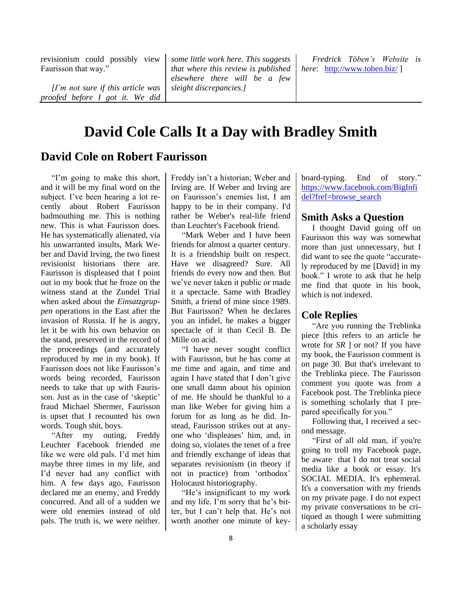revisionism could possibly view Faurisson that way."

*[I'm not sure if this article was proofed before I got it. We did* 

*some little work here. This suggests that where this review is published elsewhere there will be a few sleight discrepancies.]*

*Fredrick Töben's Website is here*: <http://www.toben.biz/> ]

## **David Cole Calls It a Day with Bradley Smith**

## **David Cole on Robert Faurisson**

"I'm going to make this short, and it will be my final word on the subject. I've been hearing a lot recently about Robert Faurisson badmouthing me. This is nothing new. This is what Faurisson does. He has systematically alienated, via his unwarranted insults, Mark Weber and David Irving, the two finest revisionist historians there are. Faurisson is displeased that I point out in my book that he froze on the witness stand at the Zundel Trial when asked about the *Einsatzgruppen* operations in the East after the invasion of Russia. If he is angry, let it be with his own behavior on the stand, preserved in the record of the proceedings (and accurately reproduced by me in my book). If Faurisson does not like Faurisson's words being recorded, Faurisson needs to take that up with Faurisson. Just as in the case of 'skeptic' fraud Michael Shermer, Faurisson is upset that I recounted his own words. Tough shit, boys.

"After my outing, Freddy Leuchter Facebook friended me like we were old pals. I'd met him maybe three times in my life, and I'd never had any conflict with him. A few days ago, Faurisson declared me an enemy, and Freddy concurred. And all of a sudden we were old enemies instead of old pals. The truth is, we were neither. Freddy isn't a historian; Weber and Irving are. If Weber and Irving are on Faurisson's enemies list, I am happy to be in their company. I'd rather be Weber's real-life friend than Leuchter's Facebook friend.

"Mark Weber and I have been friends for almost a quarter century. It is a friendship built on respect. Have we disagreed? Sure. All friends do every now and then. But we've never taken it public or made it a spectacle. Same with Bradley Smith, a friend of mine since 1989. But Faurisson? When he declares you an infidel, he makes a bigger spectacle of it than Cecil B. De Mille on acid.

"I have never sought conflict with Faurisson, but he has come at me time and again, and time and again I have stated that I don't give one small damn about his opinion of me. He should be thankful to a man like Weber for giving him a forum for as long as he did. Instead, Faurisson strikes out at anyone who 'displeases' him, and, in doing so, violates the tenet of a free and friendly exchange of ideas that separates revisionism (in theory if not in practice) from 'orthodox' Holocaust historiography.

"He's insignificant to my work and my life. I'm sorry that he's bitter, but I can't help that. He's not worth another one minute of keyboard-typing. End of story." [https://www.facebook.com/BigInfi](https://www.facebook.com/BigInfidel?fref=browse_search) [del?fref=browse\\_search](https://www.facebook.com/BigInfidel?fref=browse_search)

## **Smith Asks a Question**

I thought David going off on Faurisson this way was somewhat more than just unnecessary, but I did want to see the quote "accurately reproduced by me [David] in my book." I wrote to ask that he help me find that quote in his book, which is not indexed.

## **Cole Replies**

"Are you running the Treblinka piece [this refers to an article he wrote for *SR* ] or not? If you have my book, the Faurisson comment is on page 30. But that's irrelevant to the Treblinka piece. The Faurisson comment you quote was from a Facebook post. The Treblinka piece is something scholarly that I prepared specifically for you."

Following that, I received a second message.

"First of all old man, if you're going to troll my Facebook page, be aware that I do not treat social media like a book or essay. It's SOCIAL MEDIA. It's ephemeral. It's a conversation with my friends on my private page. I do not expect my private conversations to be critiqued as though I were submitting a scholarly essay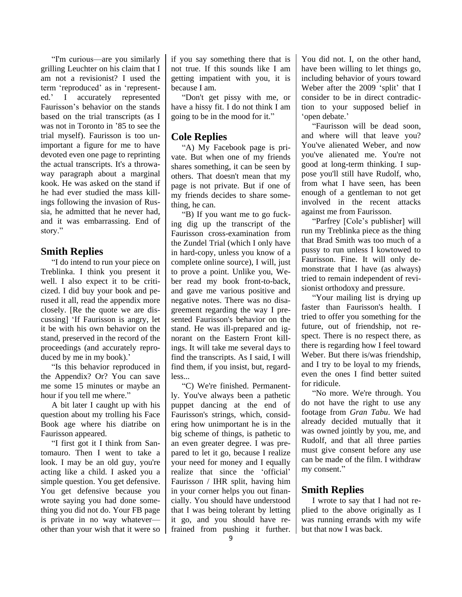"I'm curious—are you similarly grilling Leuchter on his claim that I am not a revisionist? I used the term 'reproduced' as in 'represented.' I accurately represented Faurisson's behavior on the stands based on the trial transcripts (as I was not in Toronto in '85 to see the trial myself). Faurisson is too unimportant a figure for me to have devoted even one page to reprinting the actual transcripts. It's a throwaway paragraph about a marginal kook. He was asked on the stand if he had ever studied the mass killings following the invasion of Russia, he admitted that he never had, and it was embarrassing. End of story."

## **Smith Replies**

"I do intend to run your piece on Treblinka. I think you present it well. I also expect it to be criticized. I did buy your book and perused it all, read the appendix more closely. [Re the quote we are discussing] 'If Faurisson is angry, let it be with his own behavior on the stand, preserved in the record of the proceedings (and accurately reproduced by me in my book).'

"Is this behavior reproduced in the Appendix? Or? You can save me some 15 minutes or maybe an hour if you tell me where."

A bit later I caught up with his question about my trolling his Face Book age where his diatribe on Faurisson appeared.

"I first got it I think from Santomauro. Then I went to take a look. I may be an old guy, you're acting like a child. I asked you a simple question. You get defensive. You get defensive because you wrote saying you had done something you did not do. Your FB page is private in no way whatever other than your wish that it were so if you say something there that is not true. If this sounds like I am getting impatient with you, it is because I am.

"Don't get pissy with me, or have a hissy fit. I do not think I am going to be in the mood for it."

## **Cole Replies**

"A) My Facebook page is private. But when one of my friends shares something, it can be seen by others. That doesn't mean that my page is not private. But if one of my friends decides to share something, he can.

"B) If you want me to go fucking dig up the transcript of the Faurisson cross-examination from the Zundel Trial (which I only have in hard-copy, unless you know of a complete online source), I will, just to prove a point. Unlike you, Weber read my book front-to-back, and gave me various positive and negative notes. There was no disagreement regarding the way I presented Faurisson's behavior on the stand. He was ill-prepared and ignorant on the Eastern Front killings. It will take me several days to find the transcripts. As I said, I will find them, if you insist, but, regardless...

"C) We're finished. Permanently. You've always been a pathetic puppet dancing at the end of Faurisson's strings, which, considering how unimportant he is in the big scheme of things, is pathetic to an even greater degree. I was prepared to let it go, because I realize your need for money and I equally realize that since the 'official' Faurisson / IHR split, having him in your corner helps you out financially. You should have understood that I was being tolerant by letting it go, and you should have refrained from pushing it further. You did not. I, on the other hand, have been willing to let things go, including behavior of yours toward Weber after the 2009 'split' that I consider to be in direct contradiction to your supposed belief in 'open debate.'

"Faurisson will be dead soon, and where will that leave you? You've alienated Weber, and now you've alienated me. You're not good at long-term thinking. I suppose you'll still have Rudolf, who, from what I have seen, has been enough of a gentleman to not get involved in the recent attacks against me from Faurisson.

"Parfrey [Cole's publisher] will run my Treblinka piece as the thing that Brad Smith was too much of a pussy to run unless I kowtowed to Faurisson. Fine. It will only demonstrate that I have (as always) tried to remain independent of revisionist orthodoxy and pressure.

"Your mailing list is drying up faster than Faurisson's health. I tried to offer you something for the future, out of friendship, not respect. There is no respect there, as there is regarding how I feel toward Weber. But there is/was friendship, and I try to be loyal to my friends, even the ones I find better suited for ridicule.

"No more. We're through. You do not have the right to use any footage from *Gran Tabu*. We had already decided mutually that it was owned jointly by you, me, and Rudolf, and that all three parties must give consent before any use can be made of the film. I withdraw my consent."

## **Smith Replies**

I wrote to say that I had not replied to the above originally as I was running errands with my wife but that now I was back.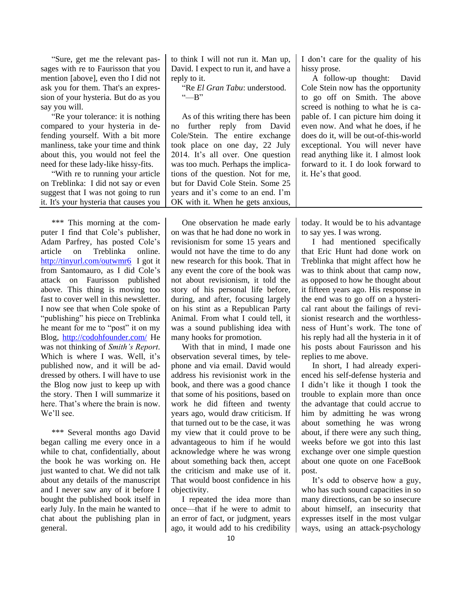"Sure, get me the relevant passages with re to Faurisson that you mention [above], even tho I did not ask you for them. That's an expression of your hysteria. But do as you say you will.

"Re your tolerance: it is nothing compared to your hysteria in defending yourself. With a bit more manliness, take your time and think about this, you would not feel the need for these lady-like hissy-fits.

"With re to running your article on Treblinka: I did not say or even suggest that I was not going to run it. It's your hysteria that causes you

\*\*\* This morning at the computer I find that Cole's publisher, Adam Parfrey, has posted Cole's article on Treblinka online. <http://tinyurl.com/outwmr6>I got it from Santomauro, as  $\overline{I}$  did Cole's attack on Faurisson published above. This thing is moving too fast to cover well in this newsletter. I now see that when Cole spoke of "publishing" his piece on Treblinka he meant for me to "post" it on my Blog, <http://codohfounder.com/> He was not thinking of *Smith's Report*. Which is where I was. Well, it's published now, and it will be addressed by others. I will have to use the Blog now just to keep up with the story. Then I will summarize it here. That's where the brain is now. We'll see.

\*\*\* Several months ago David began calling me every once in a while to chat, confidentially, about the book he was working on. He just wanted to chat. We did not talk about any details of the manuscript and I never saw any of it before I bought the published book itself in early July. In the main he wanted to chat about the publishing plan in general.

to think I will not run it. Man up, David. I expect to run it, and have a reply to it.

"Re *El Gran Tabu*: understood.  $H^{\prime\prime}$ 

As of this writing there has been no further reply from David Cole/Stein. The entire exchange took place on one day, 22 July 2014. It's all over. One question was too much. Perhaps the implications of the question. Not for me, but for David Cole Stein. Some 25 years and it's come to an end. I'm OK with it. When he gets anxious,

One observation he made early on was that he had done no work in revisionism for some 15 years and would not have the time to do any new research for this book. That in any event the core of the book was not about revisionism, it told the story of his personal life before, during, and after, focusing largely on his stint as a Republican Party Animal. From what I could tell, it was a sound publishing idea with many hooks for promotion.

With that in mind, I made one observation several times, by telephone and via email. David would address his revisionist work in the book, and there was a good chance that some of his positions, based on work he did fifteen and twenty years ago, would draw criticism. If that turned out to be the case, it was my view that it could prove to be advantageous to him if he would acknowledge where he was wrong about something back then, accept the criticism and make use of it. That would boost confidence in his objectivity.

I repeated the idea more than once—that if he were to admit to an error of fact, or judgment, years ago, it would add to his credibility

I don't care for the quality of his hissy prose.

A follow-up thought: David Cole Stein now has the opportunity to go off on Smith. The above screed is nothing to what he is capable of. I can picture him doing it even now. And what he does, if he does do it, will be out-of-this-world exceptional. You will never have read anything like it. I almost look forward to it. I do look forward to it. He's that good.

today. It would be to his advantage to say yes. I was wrong.

I had mentioned specifically that Eric Hunt had done work on Treblinka that might affect how he was to think about that camp now, as opposed to how he thought about it fifteen years ago. His response in the end was to go off on a hysterical rant about the failings of revisionist research and the worthlessness of Hunt's work. The tone of his reply had all the hysteria in it of his posts about Faurisson and his replies to me above.

In short, I had already experienced his self-defense hysteria and I didn't like it though I took the trouble to explain more than once the advantage that could accrue to him by admitting he was wrong about something he was wrong about, if there were any such thing, weeks before we got into this last exchange over one simple question about one quote on one FaceBook post.

It's odd to observe how a guy, who has such sound capacities in so many directions, can be so insecure about himself, an insecurity that expresses itself in the most vulgar ways, using an attack-psychology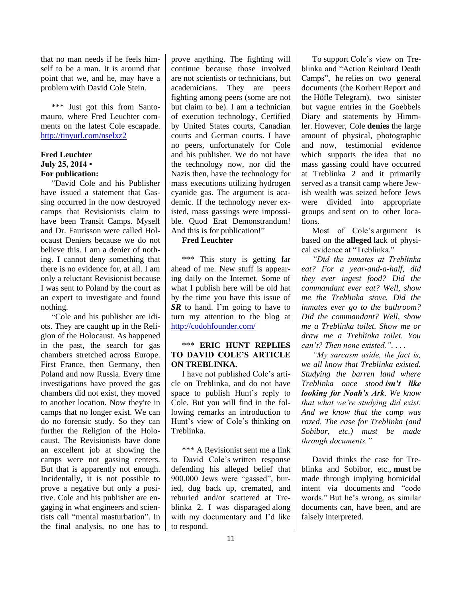that no man needs if he feels himself to be a man. It is around that point that we, and he, may have a problem with David Cole Stein.

\*\*\* Just got this from Santomauro, where Fred Leuchter comments on the latest Cole escapade. <http://tinyurl.com/nselxz2>

#### **Fred Leuchter July 25, 2014 • For publication:**

"David Cole and his Publisher have issued a statement that Gassing occurred in the now destroyed camps that Revisionists claim to have been Transit Camps. Myself and Dr. Faurisson were called Holocaust Deniers because we do not believe this. I am a denier of nothing. I cannot deny something that there is no evidence for, at all. I am only a reluctant Revisionist because I was sent to Poland by the court as an expert to investigate and found nothing.

"Cole and his publisher are idiots. They are caught up in the Religion of the Holocaust. As happened in the past, the search for gas chambers stretched across Europe. First France, then Germany, then Poland and now Russia. Every time investigations have proved the gas chambers did not exist, they moved to another location. Now they're in camps that no longer exist. We can do no forensic study. So they can further the Religion of the Holocaust. The Revisionists have done an excellent job at showing the camps were not gassing centers. But that is apparently not enough. Incidentally, it is not possible to prove a negative but only a positive. Cole and his publisher are engaging in what engineers and scientists call "mental masturbation". In the final analysis, no one has to prove anything. The fighting will continue because those involved are not scientists or technicians, but academicians. They are peers fighting among peers (some are not but claim to be). I am a technician of execution technology, Certified by United States courts, Canadian courts and German courts. I have no peers, unfortunately for Cole and his publisher. We do not have the technology now, nor did the Nazis then, have the technology for mass executions utilizing hydrogen cyanide gas. The argument is academic. If the technology never existed, mass gassings were impossible. Quod Erat Demonstrandum! And this is for publication!"

## **Fred Leuchter**

\*\*\* This story is getting far ahead of me. New stuff is appearing daily on the Internet. Some of what I publish here will be old hat by the time you have this issue of *SR* to hand. I'm going to have to turn my attention to the blog at <http://codohfounder.com/>

## \*\*\* **ERIC HUNT REPLIES TO DAVID COLE'S ARTICLE ON TREBLINKA.**

I have not published Cole's article on Treblinka, and do not have space to publish Hunt's reply to Cole. But you will find in the following remarks an introduction to Hunt's view of Cole's thinking on Treblinka.

\*\*\* A Revisionist sent me a link to David Cole's written response defending his alleged belief that 900,000 Jews were "gassed", buried, dug back up, cremated, and reburied and/or scattered at Treblinka 2. I was disparaged along with my documentary and I'd like to respond.

To support Cole's view on Treblinka and "Action Reinhard Death Camps", he relies on two general documents (the Korherr Report and the Höfle Telegram), two sinister but vague entries in the Goebbels Diary and statements by Himmler. However, Cole **denies** the large amount of physical, photographic and now, testimonial evidence which supports the idea that no mass gassing could have occurred at Treblinka 2 and it primarily served as a transit camp where Jewish wealth was seized before Jews were divided into appropriate groups and sent on to other locations.

Most of Cole's argument is based on the **alleged** lack of physical evidence at "Treblinka."

*"Did the inmates at Treblinka eat? For a year-and-a-half, did they ever ingest food? Did the commandant ever eat? Well, show me the Treblinka stove. Did the inmates ever go to the bathroom? Did the commandant? Well, show me a Treblinka toilet. Show me or draw me a Treblinka toilet. You can't? Then none existed.". . . .*

*"My sarcasm aside, the fact is, we all know that Treblinka existed. Studying the barren land where Treblinka once stood isn't like looking for Noah's Ark. We know that what we're studying did exist. And we know that the camp was razed. The case for Treblinka (and Sobibor, etc.) must be made through documents."*

David thinks the case for Treblinka and Sobibor, etc., **must** be made through implying homicidal intent via documents and "code words." But he's wrong, as similar documents can, have been, and are falsely interpreted.